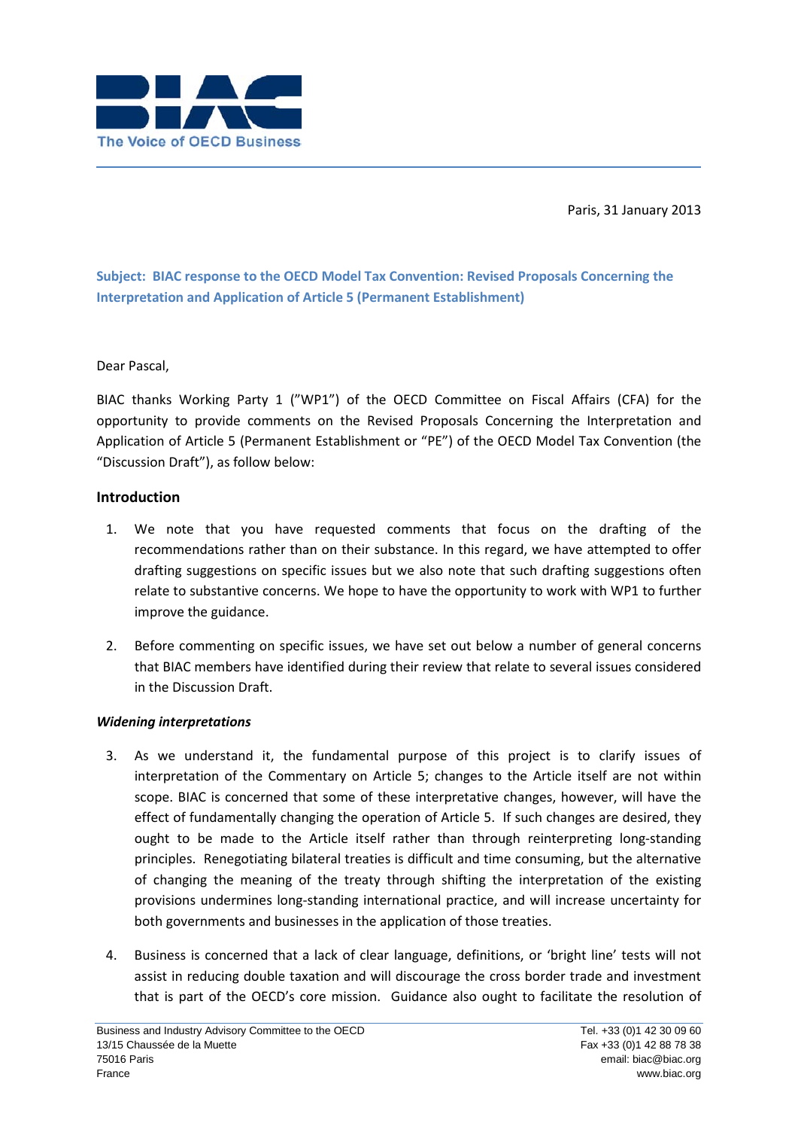

Paris, 31 January 2013

**Subject: BIAC response to the OECD Model Tax Convention: Revised Proposals Concerning the Interpretation and Application of Article 5 (Permanent Establishment)**

## Dear Pascal,

BIAC thanks Working Party 1 ("WP1") of the OECD Committee on Fiscal Affairs (CFA) for the opportunity to provide comments on the Revised Proposals Concerning the Interpretation and Application of Article 5 (Permanent Establishment or "PE") of the OECD Model Tax Convention (the "Discussion Draft"), as follow below:

## **Introduction**

- 1. We note that you have requested comments that focus on the drafting of the recommendations rather than on their substance. In this regard, we have attempted to offer drafting suggestions on specific issues but we also note that such drafting suggestions often relate to substantive concerns. We hope to have the opportunity to work with WP1 to further improve the guidance.
- 2. Before commenting on specific issues, we have set out below a number of general concerns that BIAC members have identified during their review that relate to several issues considered in the Discussion Draft.

## *Widening interpretations*

- 3. As we understand it, the fundamental purpose of this project is to clarify issues of interpretation of the Commentary on Article 5; changes to the Article itself are not within scope. BIAC is concerned that some of these interpretative changes, however, will have the effect of fundamentally changing the operation of Article 5. If such changes are desired, they ought to be made to the Article itself rather than through reinterpreting long-standing principles. Renegotiating bilateral treaties is difficult and time consuming, but the alternative of changing the meaning of the treaty through shifting the interpretation of the existing provisions undermines long-standing international practice, and will increase uncertainty for both governments and businesses in the application of those treaties.
- 4. Business is concerned that a lack of clear language, definitions, or 'bright line' tests will not assist in reducing double taxation and will discourage the cross border trade and investment that is part of the OECD's core mission. Guidance also ought to facilitate the resolution of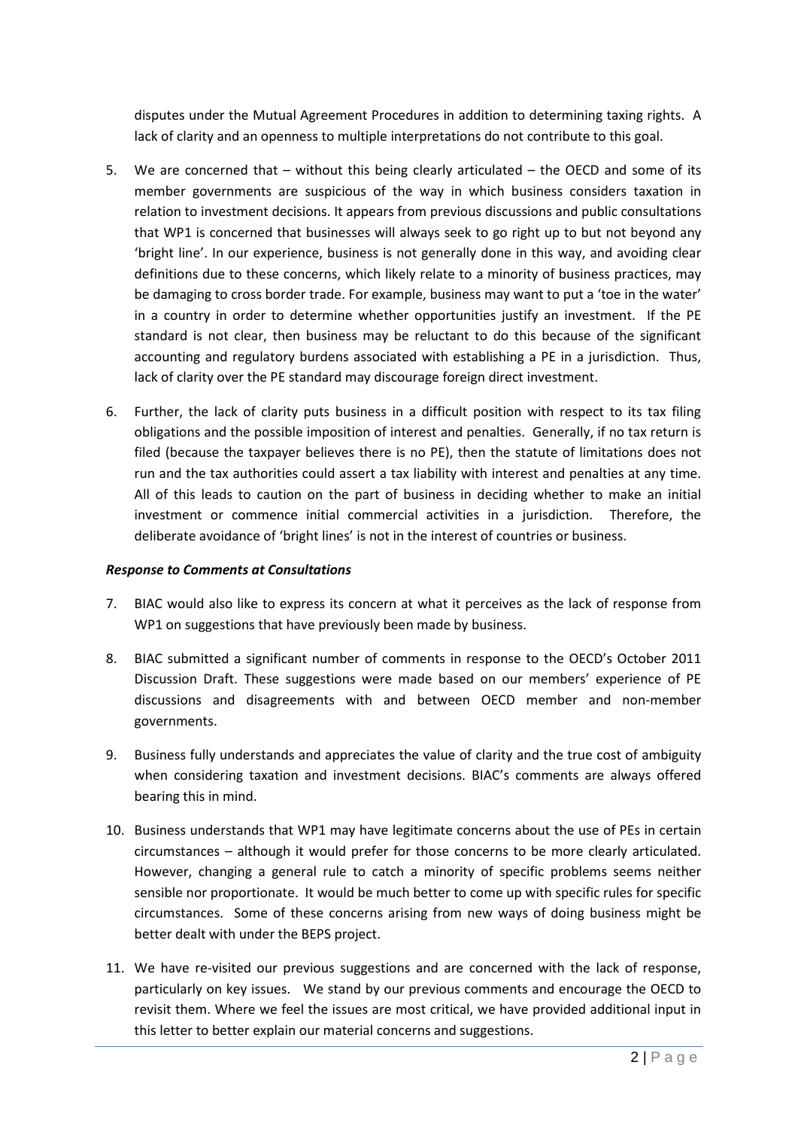disputes under the Mutual Agreement Procedures in addition to determining taxing rights. A lack of clarity and an openness to multiple interpretations do not contribute to this goal.

- 5. We are concerned that without this being clearly articulated the OECD and some of its member governments are suspicious of the way in which business considers taxation in relation to investment decisions. It appears from previous discussions and public consultations that WP1 is concerned that businesses will always seek to go right up to but not beyond any 'bright line'. In our experience, business is not generally done in this way, and avoiding clear definitions due to these concerns, which likely relate to a minority of business practices, may be damaging to cross border trade. For example, business may want to put a 'toe in the water' in a country in order to determine whether opportunities justify an investment. If the PE standard is not clear, then business may be reluctant to do this because of the significant accounting and regulatory burdens associated with establishing a PE in a jurisdiction. Thus, lack of clarity over the PE standard may discourage foreign direct investment.
- 6. Further, the lack of clarity puts business in a difficult position with respect to its tax filing obligations and the possible imposition of interest and penalties. Generally, if no tax return is filed (because the taxpayer believes there is no PE), then the statute of limitations does not run and the tax authorities could assert a tax liability with interest and penalties at any time. All of this leads to caution on the part of business in deciding whether to make an initial investment or commence initial commercial activities in a jurisdiction. Therefore, the deliberate avoidance of 'bright lines' is not in the interest of countries or business.

#### *Response to Comments at Consultations*

- 7. BIAC would also like to express its concern at what it perceives as the lack of response from WP1 on suggestions that have previously been made by business.
- 8. BIAC submitted a significant number of comments in response to the OECD's October 2011 Discussion Draft. These suggestions were made based on our members' experience of PE discussions and disagreements with and between OECD member and non-member governments.
- 9. Business fully understands and appreciates the value of clarity and the true cost of ambiguity when considering taxation and investment decisions. BIAC's comments are always offered bearing this in mind.
- 10. Business understands that WP1 may have legitimate concerns about the use of PEs in certain circumstances – although it would prefer for those concerns to be more clearly articulated. However, changing a general rule to catch a minority of specific problems seems neither sensible nor proportionate. It would be much better to come up with specific rules for specific circumstances. Some of these concerns arising from new ways of doing business might be better dealt with under the BEPS project.
- 11. We have re-visited our previous suggestions and are concerned with the lack of response, particularly on key issues. We stand by our previous comments and encourage the OECD to revisit them. Where we feel the issues are most critical, we have provided additional input in this letter to better explain our material concerns and suggestions.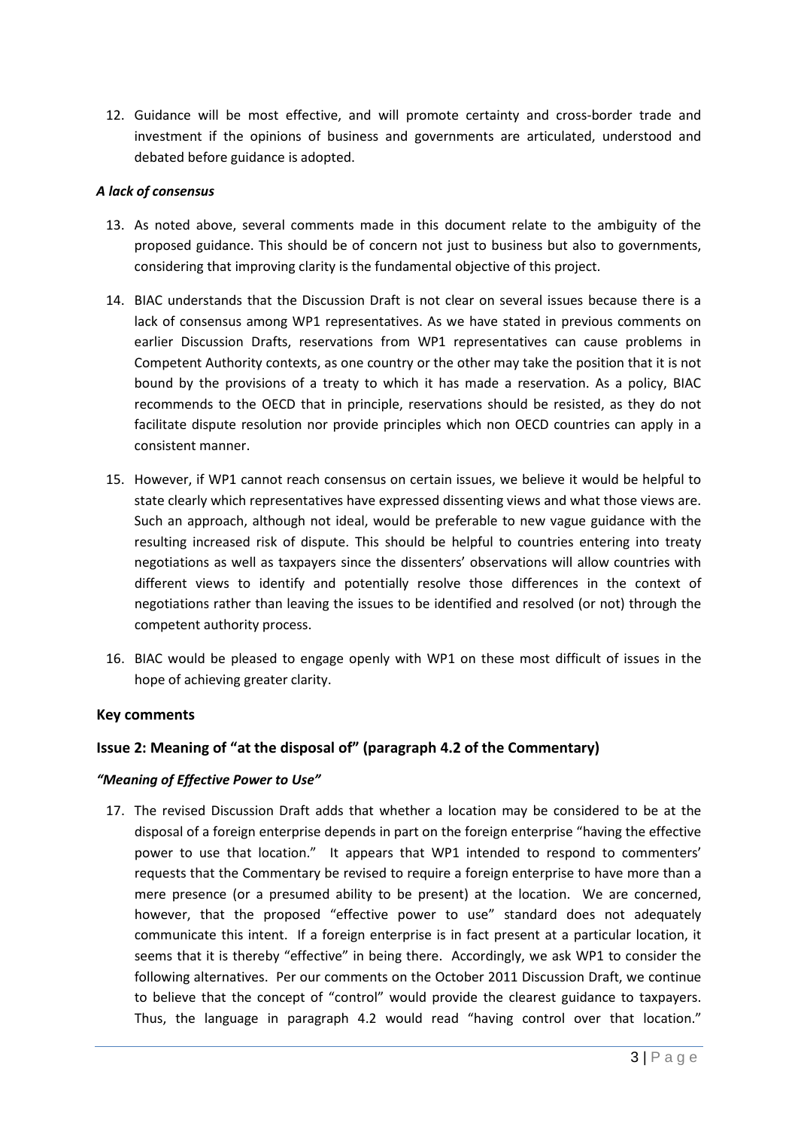12. Guidance will be most effective, and will promote certainty and cross-border trade and investment if the opinions of business and governments are articulated, understood and debated before guidance is adopted.

#### *A lack of consensus*

- 13. As noted above, several comments made in this document relate to the ambiguity of the proposed guidance. This should be of concern not just to business but also to governments, considering that improving clarity is the fundamental objective of this project.
- 14. BIAC understands that the Discussion Draft is not clear on several issues because there is a lack of consensus among WP1 representatives. As we have stated in previous comments on earlier Discussion Drafts, reservations from WP1 representatives can cause problems in Competent Authority contexts, as one country or the other may take the position that it is not bound by the provisions of a treaty to which it has made a reservation. As a policy, BIAC recommends to the OECD that in principle, reservations should be resisted, as they do not facilitate dispute resolution nor provide principles which non OECD countries can apply in a consistent manner.
- 15. However, if WP1 cannot reach consensus on certain issues, we believe it would be helpful to state clearly which representatives have expressed dissenting views and what those views are. Such an approach, although not ideal, would be preferable to new vague guidance with the resulting increased risk of dispute. This should be helpful to countries entering into treaty negotiations as well as taxpayers since the dissenters' observations will allow countries with different views to identify and potentially resolve those differences in the context of negotiations rather than leaving the issues to be identified and resolved (or not) through the competent authority process.
- 16. BIAC would be pleased to engage openly with WP1 on these most difficult of issues in the hope of achieving greater clarity.

## **Key comments**

## **Issue 2: Meaning of "at the disposal of" (paragraph 4.2 of the Commentary)**

#### *"Meaning of Effective Power to Use"*

17. The revised Discussion Draft adds that whether a location may be considered to be at the disposal of a foreign enterprise depends in part on the foreign enterprise "having the effective power to use that location." It appears that WP1 intended to respond to commenters' requests that the Commentary be revised to require a foreign enterprise to have more than a mere presence (or a presumed ability to be present) at the location. We are concerned, however, that the proposed "effective power to use" standard does not adequately communicate this intent. If a foreign enterprise is in fact present at a particular location, it seems that it is thereby "effective" in being there. Accordingly, we ask WP1 to consider the following alternatives. Per our comments on the October 2011 Discussion Draft, we continue to believe that the concept of "control" would provide the clearest guidance to taxpayers. Thus, the language in paragraph 4.2 would read "having control over that location."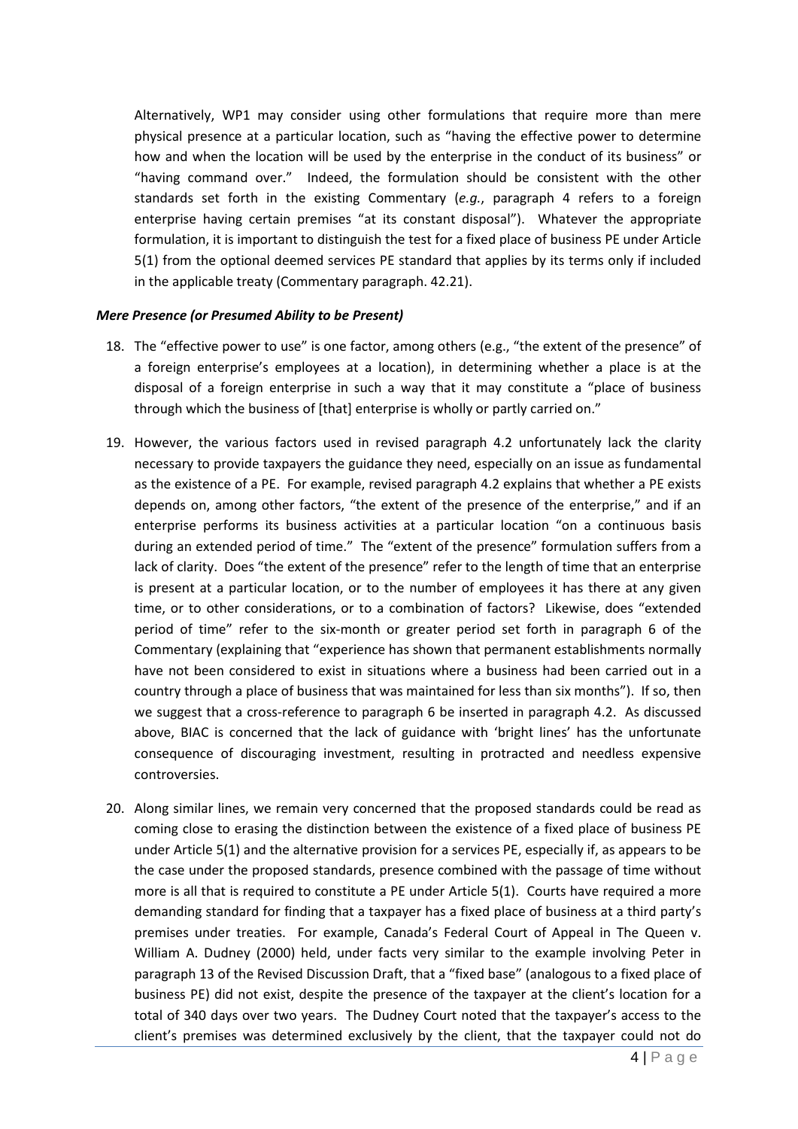Alternatively, WP1 may consider using other formulations that require more than mere physical presence at a particular location, such as "having the effective power to determine how and when the location will be used by the enterprise in the conduct of its business" or "having command over." Indeed, the formulation should be consistent with the other standards set forth in the existing Commentary (*e.g.*, paragraph 4 refers to a foreign enterprise having certain premises "at its constant disposal"). Whatever the appropriate formulation, it is important to distinguish the test for a fixed place of business PE under Article 5(1) from the optional deemed services PE standard that applies by its terms only if included in the applicable treaty (Commentary paragraph. 42.21).

### *Mere Presence (or Presumed Ability to be Present)*

- 18. The "effective power to use" is one factor, among others (e.g., "the extent of the presence" of a foreign enterprise's employees at a location), in determining whether a place is at the disposal of a foreign enterprise in such a way that it may constitute a "place of business through which the business of [that] enterprise is wholly or partly carried on."
- 19. However, the various factors used in revised paragraph 4.2 unfortunately lack the clarity necessary to provide taxpayers the guidance they need, especially on an issue as fundamental as the existence of a PE. For example, revised paragraph 4.2 explains that whether a PE exists depends on, among other factors, "the extent of the presence of the enterprise," and if an enterprise performs its business activities at a particular location "on a continuous basis during an extended period of time." The "extent of the presence" formulation suffers from a lack of clarity. Does "the extent of the presence" refer to the length of time that an enterprise is present at a particular location, or to the number of employees it has there at any given time, or to other considerations, or to a combination of factors? Likewise, does "extended period of time" refer to the six-month or greater period set forth in paragraph 6 of the Commentary (explaining that "experience has shown that permanent establishments normally have not been considered to exist in situations where a business had been carried out in a country through a place of business that was maintained for less than six months"). If so, then we suggest that a cross-reference to paragraph 6 be inserted in paragraph 4.2. As discussed above, BIAC is concerned that the lack of guidance with 'bright lines' has the unfortunate consequence of discouraging investment, resulting in protracted and needless expensive controversies.
- 20. Along similar lines, we remain very concerned that the proposed standards could be read as coming close to erasing the distinction between the existence of a fixed place of business PE under Article 5(1) and the alternative provision for a services PE, especially if, as appears to be the case under the proposed standards, presence combined with the passage of time without more is all that is required to constitute a PE under Article 5(1). Courts have required a more demanding standard for finding that a taxpayer has a fixed place of business at a third party's premises under treaties. For example, Canada's Federal Court of Appeal in The Queen v. William A. Dudney (2000) held, under facts very similar to the example involving Peter in paragraph 13 of the Revised Discussion Draft, that a "fixed base" (analogous to a fixed place of business PE) did not exist, despite the presence of the taxpayer at the client's location for a total of 340 days over two years. The Dudney Court noted that the taxpayer's access to the client's premises was determined exclusively by the client, that the taxpayer could not do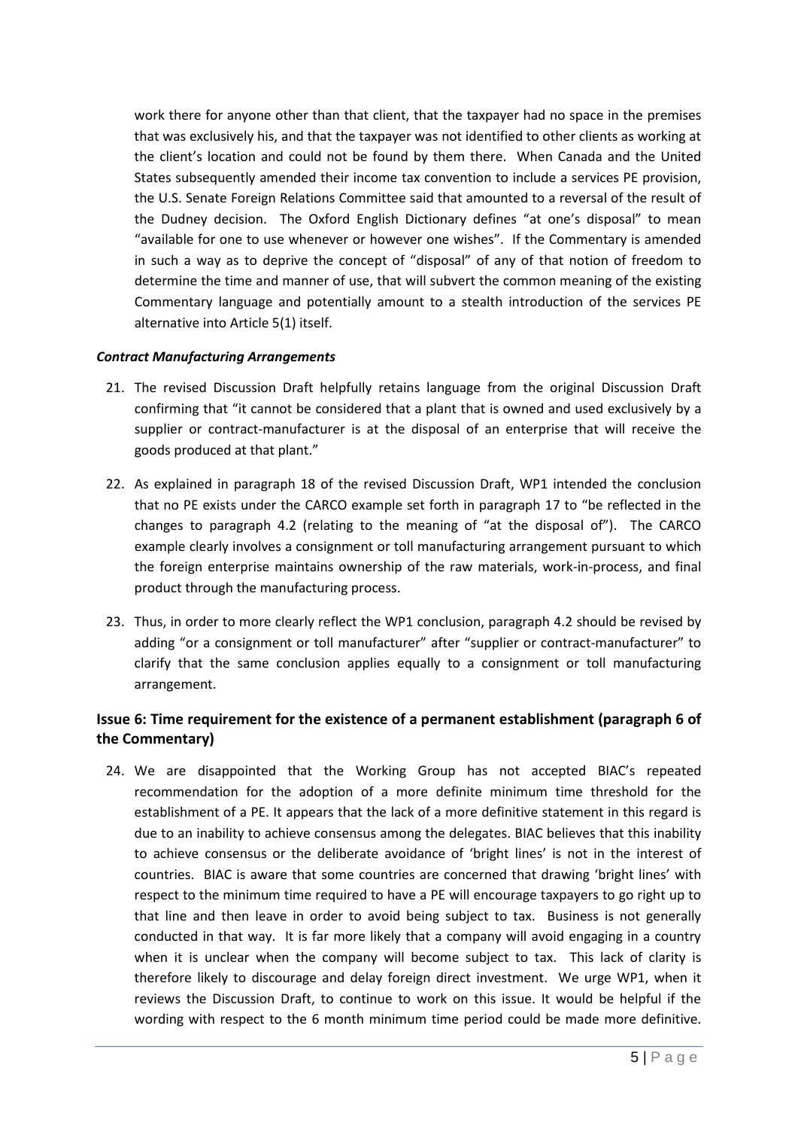work there for anyone other than that client, that the taxpayer had no space in the premises that was exclusively his, and that the taxpayer was not identified to other clients as working at the client's location and could not be found by them there. When Canada and the United States subsequently amended their income tax convention to include a services PE provision, the U.S. Senate Foreign Relations Committee said that amounted to a reversal of the result of the Dudney decision. The Oxford English Dictionary defines "at one's disposal" to mean "available for one to use whenever or however one wishes". If the Commentary is amended in such a way as to deprive the concept of "disposal" of any of that notion of freedom to determine the time and manner of use, that will subvert the common meaning of the existing Commentary language and potentially amount to a stealth introduction of the services PE alternative into Article 5(1) itself.

### *Contract Manufacturing Arrangements*

- 21. The revised Discussion Draft helpfully retains language from the original Discussion Draft confirming that "it cannot be considered that a plant that is owned and used exclusively by a supplier or contract-manufacturer is at the disposal of an enterprise that will receive the goods produced at that plant."
- 22. As explained in paragraph 18 of the revised Discussion Draft, WP1 intended the conclusion that no PE exists under the CARCO example set forth in paragraph 17 to "be reflected in the changes to paragraph 4.2 (relating to the meaning of "at the disposal of"). The CARCO example clearly involves a consignment or toll manufacturing arrangement pursuant to which the foreign enterprise maintains ownership of the raw materials, work-in-process, and final product through the manufacturing process.
- 23. Thus, in order to more clearly reflect the WP1 conclusion, paragraph 4.2 should be revised by adding "or a consignment or toll manufacturer" after "supplier or contract-manufacturer" to clarify that the same conclusion applies equally to a consignment or toll manufacturing arrangement.

## **Issue 6: Time requirement for the existence of a permanent establishment (paragraph 6 of the Commentary)**

24. We are disappointed that the Working Group has not accepted BIAC's repeated recommendation for the adoption of a more definite minimum time threshold for the establishment of a PE. It appears that the lack of a more definitive statement in this regard is due to an inability to achieve consensus among the delegates. BIAC believes that this inability to achieve consensus or the deliberate avoidance of 'bright lines' is not in the interest of countries. BIAC is aware that some countries are concerned that drawing 'bright lines' with respect to the minimum time required to have a PE will encourage taxpayers to go right up to that line and then leave in order to avoid being subject to tax. Business is not generally conducted in that way. It is far more likely that a company will avoid engaging in a country when it is unclear when the company will become subject to tax. This lack of clarity is therefore likely to discourage and delay foreign direct investment. We urge WP1, when it reviews the Discussion Draft, to continue to work on this issue. It would be helpful if the wording with respect to the 6 month minimum time period could be made more definitive.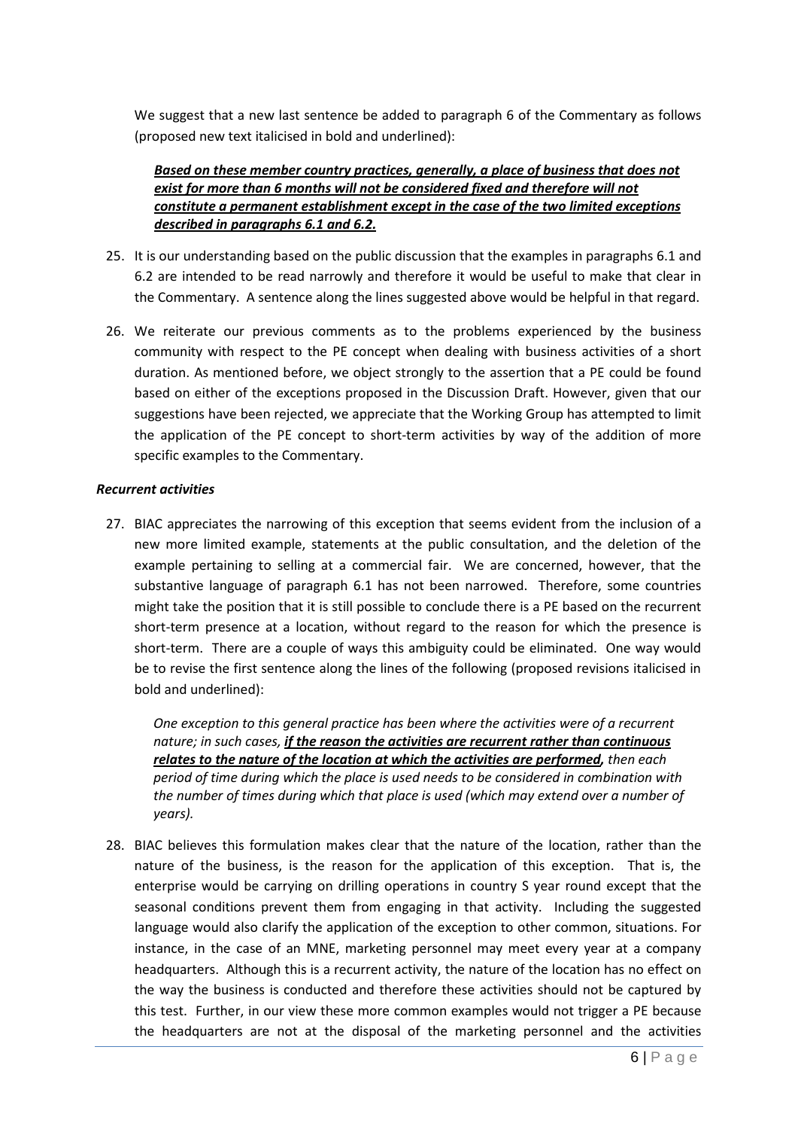We suggest that a new last sentence be added to paragraph 6 of the Commentary as follows (proposed new text italicised in bold and underlined):

## *Based on these member country practices, generally, a place of business that does not exist for more than 6 months will not be considered fixed and therefore will not constitute a permanent establishment except in the case of the two limited exceptions described in paragraphs 6.1 and 6.2.*

- 25. It is our understanding based on the public discussion that the examples in paragraphs 6.1 and 6.2 are intended to be read narrowly and therefore it would be useful to make that clear in the Commentary. A sentence along the lines suggested above would be helpful in that regard.
- 26. We reiterate our previous comments as to the problems experienced by the business community with respect to the PE concept when dealing with business activities of a short duration. As mentioned before, we object strongly to the assertion that a PE could be found based on either of the exceptions proposed in the Discussion Draft. However, given that our suggestions have been rejected, we appreciate that the Working Group has attempted to limit the application of the PE concept to short-term activities by way of the addition of more specific examples to the Commentary.

#### *Recurrent activities*

27. BIAC appreciates the narrowing of this exception that seems evident from the inclusion of a new more limited example, statements at the public consultation, and the deletion of the example pertaining to selling at a commercial fair. We are concerned, however, that the substantive language of paragraph 6.1 has not been narrowed. Therefore, some countries might take the position that it is still possible to conclude there is a PE based on the recurrent short-term presence at a location, without regard to the reason for which the presence is short-term. There are a couple of ways this ambiguity could be eliminated. One way would be to revise the first sentence along the lines of the following (proposed revisions italicised in bold and underlined):

*One exception to this general practice has been where the activities were of a recurrent nature; in such cases, if the reason the activities are recurrent rather than continuous relates to the nature of the location at which the activities are performed , then each period of time during which the place is used needs to be considered in combination with the number of times during which that place is used (which may extend over a number of years).*

28. BIAC believes this formulation makes clear that the nature of the location, rather than the nature of the business, is the reason for the application of this exception. That is, the enterprise would be carrying on drilling operations in country S year round except that the seasonal conditions prevent them from engaging in that activity. Including the suggested language would also clarify the application of the exception to other common, situations. For instance, in the case of an MNE, marketing personnel may meet every year at a company headquarters. Although this is a recurrent activity, the nature of the location has no effect on the way the business is conducted and therefore these activities should not be captured by this test. Further, in our view these more common examples would not trigger a PE because the headquarters are not at the disposal of the marketing personnel and the activities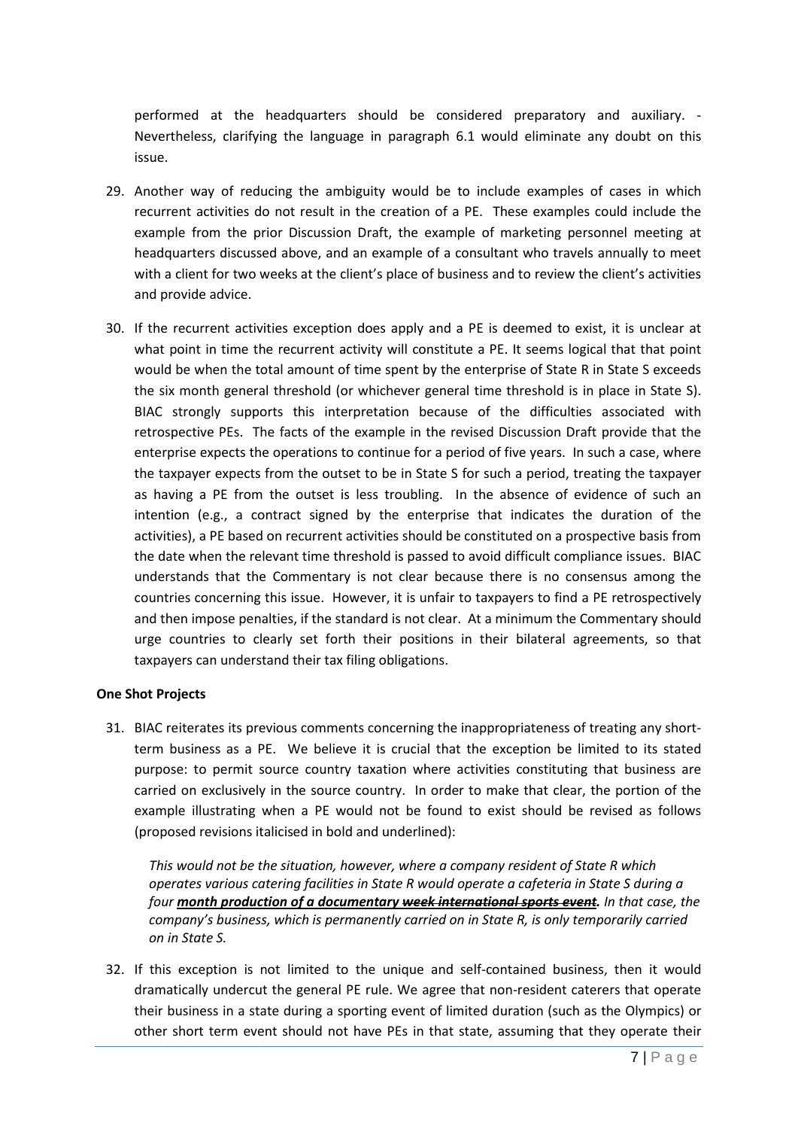performed at the headquarters should be considered preparatory and auxiliary. - Nevertheless, clarifying the language in paragraph 6.1 would eliminate any doubt on this issue.

- 29. Another way of reducing the ambiguity would be to include examples of cases in which recurrent activities do not result in the creation of a PE. These examples could include the example from the prior Discussion Draft, the example of marketing personnel meeting at headquarters discussed above, and an example of a consultant who travels annually to meet with a client for two weeks at the client's place of business and to review the client's activities and provide advice.
- 30. If the recurrent activities exception does apply and a PE is deemed to exist, it is unclear at what point in time the recurrent activity will constitute a PE. It seems logical that that point would be when the total amount of time spent by the enterprise of State R in State S exceeds the six month general threshold (or whichever general time threshold is in place in State S). BIAC strongly supports this interpretation because of the difficulties associated with retrospective PEs. The facts of the example in the revised Discussion Draft provide that the enterprise expects the operations to continue for a period of five years. In such a case, where the taxpayer expects from the outset to be in State S for such a period, treating the taxpayer as having a PE from the outset is less troubling. In the absence of evidence of such an intention (e.g., a contract signed by the enterprise that indicates the duration of the activities), a PE based on recurrent activities should be constituted on a prospective basis from the date when the relevant time threshold is passed to avoid difficult compliance issues. BIAC understands that the Commentary is not clear because there is no consensus among the countries concerning this issue. However, it is unfair to taxpayers to find a PE retrospectively and then impose penalties, if the standard is not clear. At a minimum the Commentary should urge countries to clearly set forth their positions in their bilateral agreements, so that taxpayers can understand their tax filing obligations.

#### **One Shot Projects**

31. BIAC reiterates its previous comments concerning the inappropriateness of treating any shortterm business as a PE. We believe it is crucial that the exception be limited to its stated purpose: to permit source country taxation where activities constituting that business are carried on exclusively in the source country. In order to make that clear, the portion of the example illustrating when a PE would not be found to exist should be revised as follows (proposed revisions italicised in bold and underlined):

*This would not be the situation, however, where a company resident of State R which operates various catering facilities in State R would operate a cafeteria in State S during a four month production of a documentary week international sports event . In that case, the company's business, which is permanently carried on in State R, is only temporarily carried on in State S.*

32. If this exception is not limited to the unique and self-contained business, then it would dramatically undercut the general PE rule. We agree that non-resident caterers that operate their business in a state during a sporting event of limited duration (such as the Olympics) or other short term event should not have PEs in that state, assuming that they operate their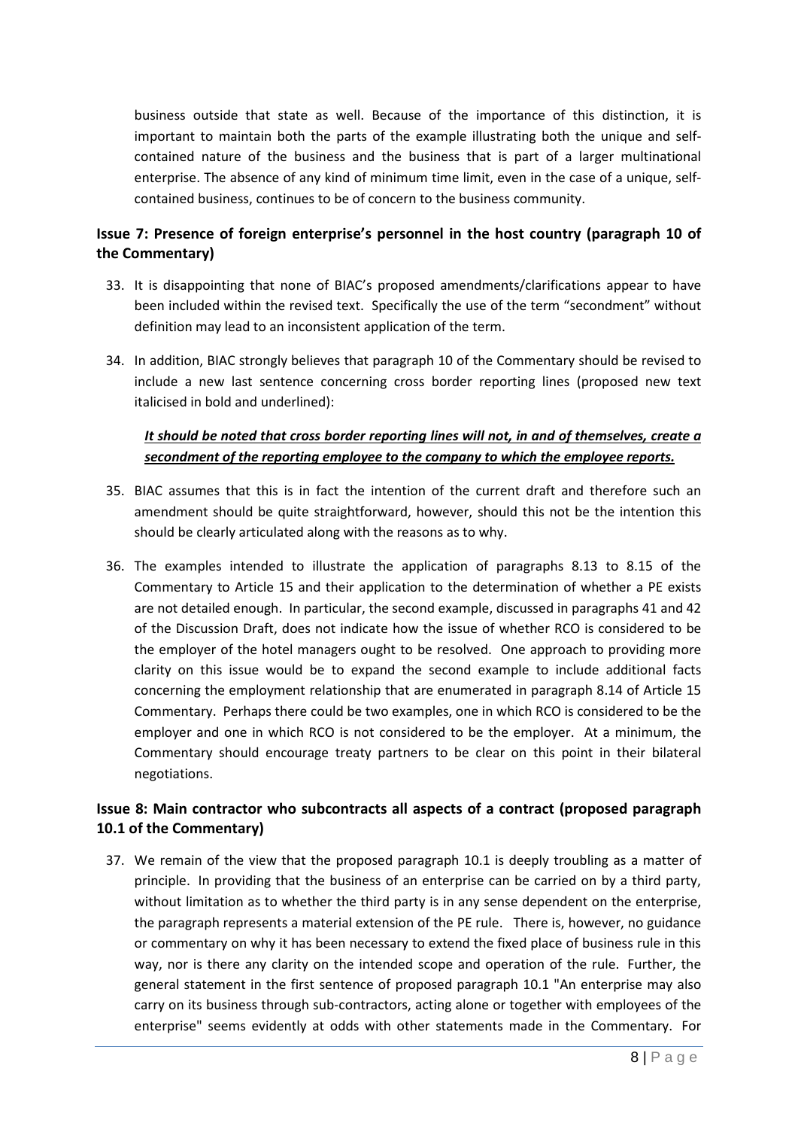business outside that state as well. Because of the importance of this distinction, it is important to maintain both the parts of the example illustrating both the unique and selfcontained nature of the business and the business that is part of a larger multinational enterprise. The absence of any kind of minimum time limit, even in the case of a unique, selfcontained business, continues to be of concern to the business community.

# **Issue 7: Presence of foreign enterprise's personnel in the host country (paragraph 10 of the Commentary)**

- 33. It is disappointing that none of BIAC's proposed amendments/clarifications appear to have been included within the revised text. Specifically the use of the term "secondment" without definition may lead to an inconsistent application of the term.
- 34. In addition, BIAC strongly believes that paragraph 10 of the Commentary should be revised to include a new last sentence concerning cross border reporting lines (proposed new text italicised in bold and underlined):

# *It should be noted that cross border reporting lines will not, in and of themselves, create a secondment of the reporting employee to the company to which the employee reports.*

- 35. BIAC assumes that this is in fact the intention of the current draft and therefore such an amendment should be quite straightforward, however, should this not be the intention this should be clearly articulated along with the reasons as to why.
- 36. The examples intended to illustrate the application of paragraphs 8.13 to 8.15 of the Commentary to Article 15 and their application to the determination of whether a PE exists are not detailed enough. In particular, the second example, discussed in paragraphs 41 and 42 of the Discussion Draft, does not indicate how the issue of whether RCO is considered to be the employer of the hotel managers ought to be resolved. One approach to providing more clarity on this issue would be to expand the second example to include additional facts concerning the employment relationship that are enumerated in paragraph 8.14 of Article 15 Commentary. Perhaps there could be two examples, one in which RCO is considered to be the employer and one in which RCO is not considered to be the employer. At a minimum, the Commentary should encourage treaty partners to be clear on this point in their bilateral negotiations.

## **Issue 8: Main contractor who subcontracts all aspects of a contract (proposed paragraph 10.1 of the Commentary)**

37. We remain of the view that the proposed paragraph 10.1 is deeply troubling as a matter of principle. In providing that the business of an enterprise can be carried on by a third party, without limitation as to whether the third party is in any sense dependent on the enterprise, the paragraph represents a material extension of the PE rule. There is, however, no guidance or commentary on why it has been necessary to extend the fixed place of business rule in this way, nor is there any clarity on the intended scope and operation of the rule. Further, the general statement in the first sentence of proposed paragraph 10.1 "An enterprise may also carry on its business through sub-contractors, acting alone or together with employees of the enterprise" seems evidently at odds with other statements made in the Commentary. For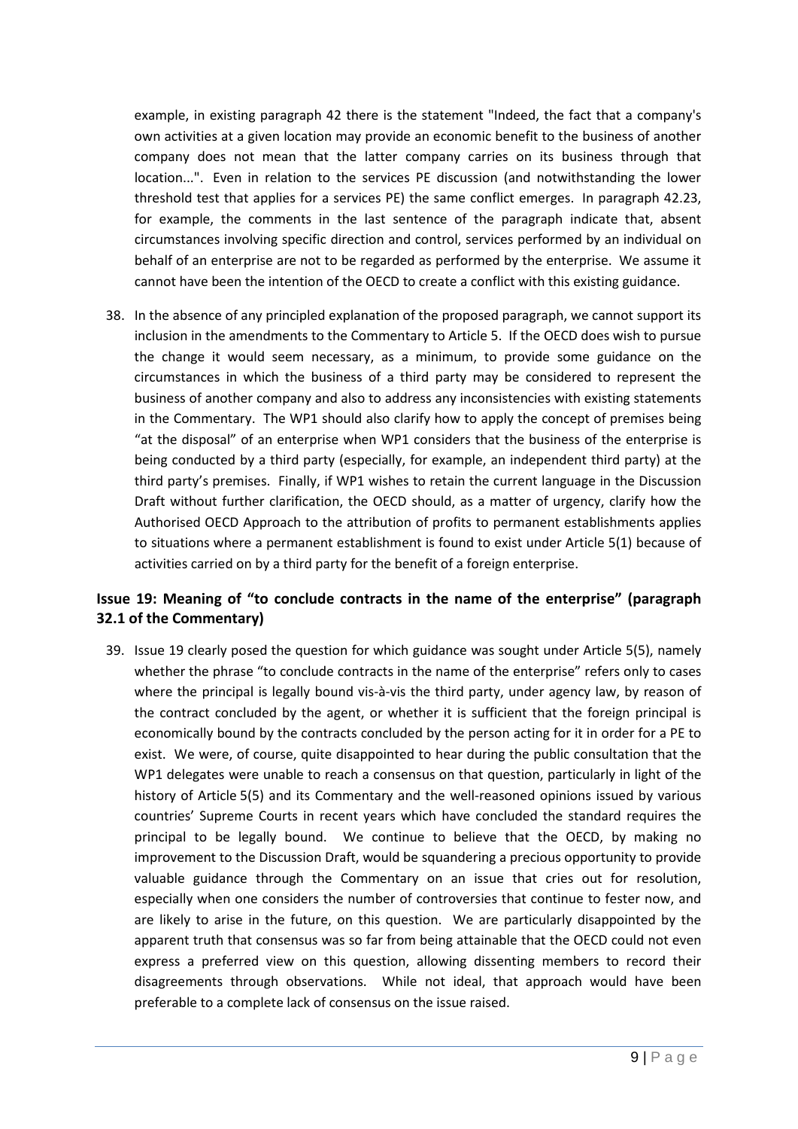example, in existing paragraph 42 there is the statement "Indeed, the fact that a company's own activities at a given location may provide an economic benefit to the business of another company does not mean that the latter company carries on its business through that location...". Even in relation to the services PE discussion (and notwithstanding the lower threshold test that applies for a services PE) the same conflict emerges. In paragraph 42.23, for example, the comments in the last sentence of the paragraph indicate that, absent circumstances involving specific direction and control, services performed by an individual on behalf of an enterprise are not to be regarded as performed by the enterprise. We assume it cannot have been the intention of the OECD to create a conflict with this existing guidance.

38. In the absence of any principled explanation of the proposed paragraph, we cannot support its inclusion in the amendments to the Commentary to Article 5. If the OECD does wish to pursue the change it would seem necessary, as a minimum, to provide some guidance on the circumstances in which the business of a third party may be considered to represent the business of another company and also to address any inconsistencies with existing statements in the Commentary. The WP1 should also clarify how to apply the concept of premises being "at the disposal" of an enterprise when WP1 considers that the business of the enterprise is being conducted by a third party (especially, for example, an independent third party) at the third party's premises. Finally, if WP1 wishes to retain the current language in the Discussion Draft without further clarification, the OECD should, as a matter of urgency, clarify how the Authorised OECD Approach to the attribution of profits to permanent establishments applies to situations where a permanent establishment is found to exist under Article 5(1) because of activities carried on by a third party for the benefit of a foreign enterprise.

# **Issue 19: Meaning of "to conclude contracts in the name of the enterprise" (paragraph 32.1 of the Commentary)**

39. Issue 19 clearly posed the question for which guidance was sought under Article 5(5), namely whether the phrase "to conclude contracts in the name of the enterprise" refers only to cases where the principal is legally bound vis-à-vis the third party, under agency law, by reason of the contract concluded by the agent, or whether it is sufficient that the foreign principal is economically bound by the contracts concluded by the person acting for it in order for a PE to exist. We were, of course, quite disappointed to hear during the public consultation that the WP1 delegates were unable to reach a consensus on that question, particularly in light of the history of Article 5(5) and its Commentary and the well-reasoned opinions issued by various countries' Supreme Courts in recent years which have concluded the standard requires the principal to be legally bound. We continue to believe that the OECD, by making no improvement to the Discussion Draft, would be squandering a precious opportunity to provide valuable guidance through the Commentary on an issue that cries out for resolution, especially when one considers the number of controversies that continue to fester now, and are likely to arise in the future, on this question. We are particularly disappointed by the apparent truth that consensus was so far from being attainable that the OECD could not even express a preferred view on this question, allowing dissenting members to record their disagreements through observations. While not ideal, that approach would have been preferable to a complete lack of consensus on the issue raised.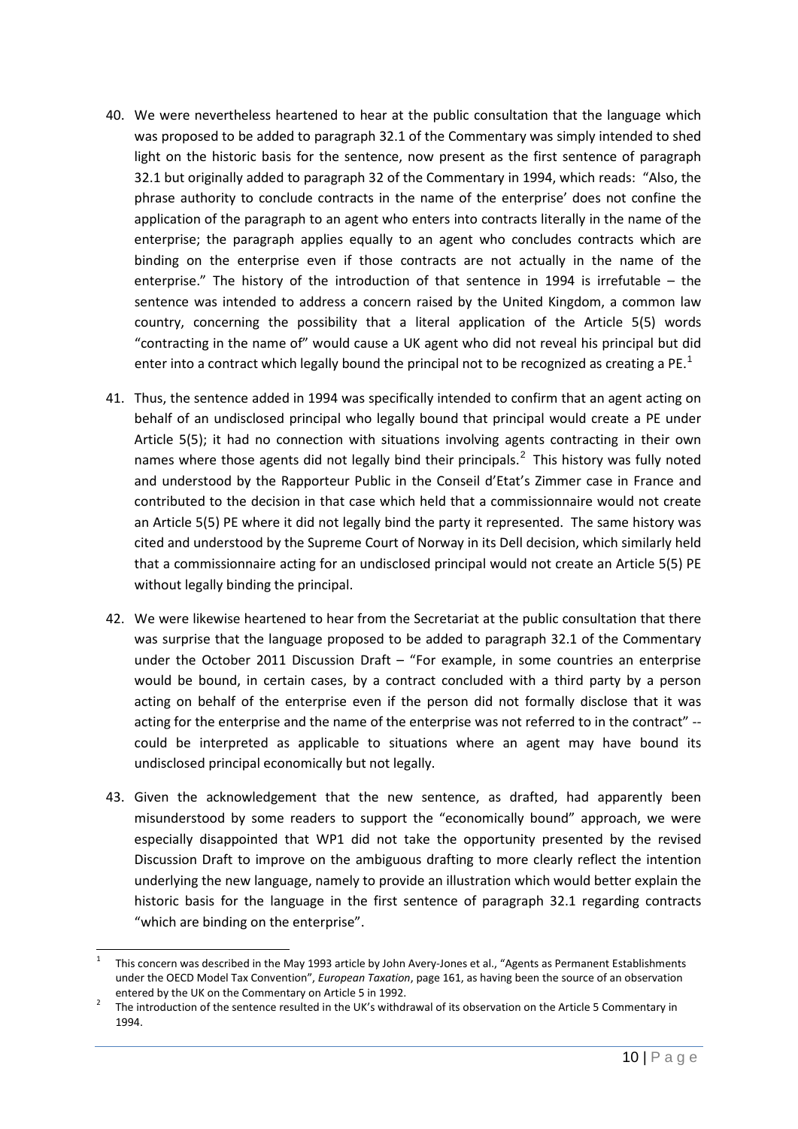- 40. We were nevertheless heartened to hear at the public consultation that the language which was proposed to be added to paragraph 32.1 of the Commentary was simply intended to shed light on the historic basis for the sentence, now present as the first sentence of paragraph 32.1 but originally added to paragraph 32 of the Commentary in 1994, which reads: "Also, the phrase authority to conclude contracts in the name of the enterprise' does not confine the application of the paragraph to an agent who enters into contracts literally in the name of the enterprise; the paragraph applies equally to an agent who concludes contracts which are binding on the enterprise even if those contracts are not actually in the name of the enterprise." The history of the introduction of that sentence in 1994 is irrefutable – the sentence was intended to address a concern raised by the United Kingdom, a common law country, concerning the possibility that a literal application of the Article 5(5) words "contracting in the name of" would cause a UK agent who did not reveal his principal but did enter into a contract which legally bound the principal not to be recognized as creating a PE.<sup>[1](#page-9-0)</sup>
- 41. Thus, the sentence added in 1994 was specifically intended to confirm that an agent acting on behalf of an undisclosed principal who legally bound that principal would create a PE under Article 5(5); it had no connection with situations involving agents contracting in their own names where those agents did not legally bind their principals. $^2$  $^2$  This history was fully noted and understood by the Rapporteur Public in the Conseil d'Etat's Zimmer case in France and contributed to the decision in that case which held that a commissionnaire would not create an Article 5(5) PE where it did not legally bind the party it represented. The same history was cited and understood by the Supreme Court of Norway in its Dell decision, which similarly held that a commissionnaire acting for an undisclosed principal would not create an Article 5(5) PE without legally binding the principal.
- 42. We were likewise heartened to hear from the Secretariat at the public consultation that there was surprise that the language proposed to be added to paragraph 32.1 of the Commentary under the October 2011 Discussion Draft – "For example, in some countries an enterprise would be bound, in certain cases, by a contract concluded with a third party by a person acting on behalf of the enterprise even if the person did not formally disclose that it was acting for the enterprise and the name of the enterprise was not referred to in the contract" - could be interpreted as applicable to situations where an agent may have bound its undisclosed principal economically but not legally.
- 43. Given the acknowledgement that the new sentence, as drafted, had apparently been misunderstood by some readers to support the "economically bound" approach, we were especially disappointed that WP1 did not take the opportunity presented by the revised Discussion Draft to improve on the ambiguous drafting to more clearly reflect the intention underlying the new language, namely to provide an illustration which would better explain the historic basis for the language in the first sentence of paragraph 32.1 regarding contracts "which are binding on the enterprise".

<span id="page-9-0"></span> $\frac{1}{1}$  This concern was described in the May 1993 article by John Avery-Jones et al., "Agents as Permanent Establishments under the OECD Model Tax Convention", *European Taxation*, page 161, as having been the source of an observation entered by the UK on the Commentary on Article 5 in 1992.

<span id="page-9-1"></span>The introduction of the sentence resulted in the UK's withdrawal of its observation on the Article 5 Commentary in 1994.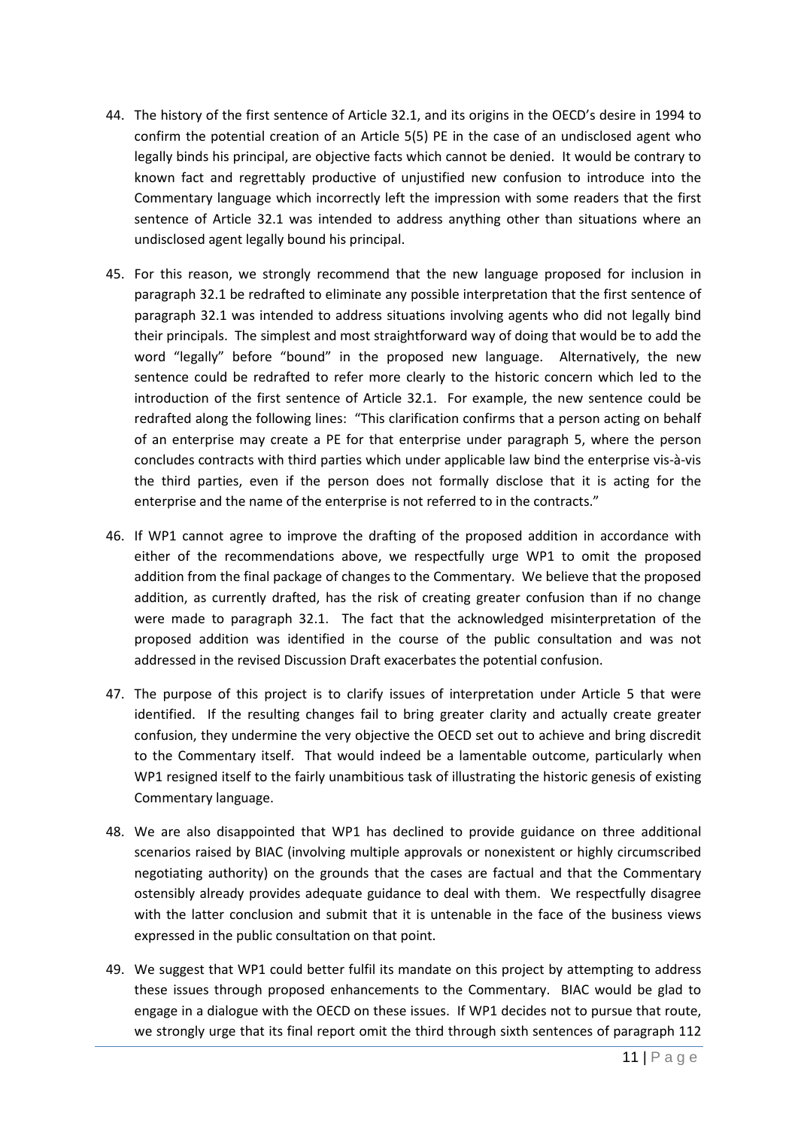- 44. The history of the first sentence of Article 32.1, and its origins in the OECD's desire in 1994 to confirm the potential creation of an Article 5(5) PE in the case of an undisclosed agent who legally binds his principal, are objective facts which cannot be denied. It would be contrary to known fact and regrettably productive of unjustified new confusion to introduce into the Commentary language which incorrectly left the impression with some readers that the first sentence of Article 32.1 was intended to address anything other than situations where an undisclosed agent legally bound his principal.
- 45. For this reason, we strongly recommend that the new language proposed for inclusion in paragraph 32.1 be redrafted to eliminate any possible interpretation that the first sentence of paragraph 32.1 was intended to address situations involving agents who did not legally bind their principals. The simplest and most straightforward way of doing that would be to add the word "legally" before "bound" in the proposed new language. Alternatively, the new sentence could be redrafted to refer more clearly to the historic concern which led to the introduction of the first sentence of Article 32.1. For example, the new sentence could be redrafted along the following lines: "This clarification confirms that a person acting on behalf of an enterprise may create a PE for that enterprise under paragraph 5, where the person concludes contracts with third parties which under applicable law bind the enterprise vis-à-vis the third parties, even if the person does not formally disclose that it is acting for the enterprise and the name of the enterprise is not referred to in the contracts."
- 46. If WP1 cannot agree to improve the drafting of the proposed addition in accordance with either of the recommendations above, we respectfully urge WP1 to omit the proposed addition from the final package of changes to the Commentary. We believe that the proposed addition, as currently drafted, has the risk of creating greater confusion than if no change were made to paragraph 32.1. The fact that the acknowledged misinterpretation of the proposed addition was identified in the course of the public consultation and was not addressed in the revised Discussion Draft exacerbates the potential confusion.
- 47. The purpose of this project is to clarify issues of interpretation under Article 5 that were identified. If the resulting changes fail to bring greater clarity and actually create greater confusion, they undermine the very objective the OECD set out to achieve and bring discredit to the Commentary itself. That would indeed be a lamentable outcome, particularly when WP1 resigned itself to the fairly unambitious task of illustrating the historic genesis of existing Commentary language.
- 48. We are also disappointed that WP1 has declined to provide guidance on three additional scenarios raised by BIAC (involving multiple approvals or nonexistent or highly circumscribed negotiating authority) on the grounds that the cases are factual and that the Commentary ostensibly already provides adequate guidance to deal with them. We respectfully disagree with the latter conclusion and submit that it is untenable in the face of the business views expressed in the public consultation on that point.
- 49. We suggest that WP1 could better fulfil its mandate on this project by attempting to address these issues through proposed enhancements to the Commentary. BIAC would be glad to engage in a dialogue with the OECD on these issues. If WP1 decides not to pursue that route, we strongly urge that its final report omit the third through sixth sentences of paragraph 112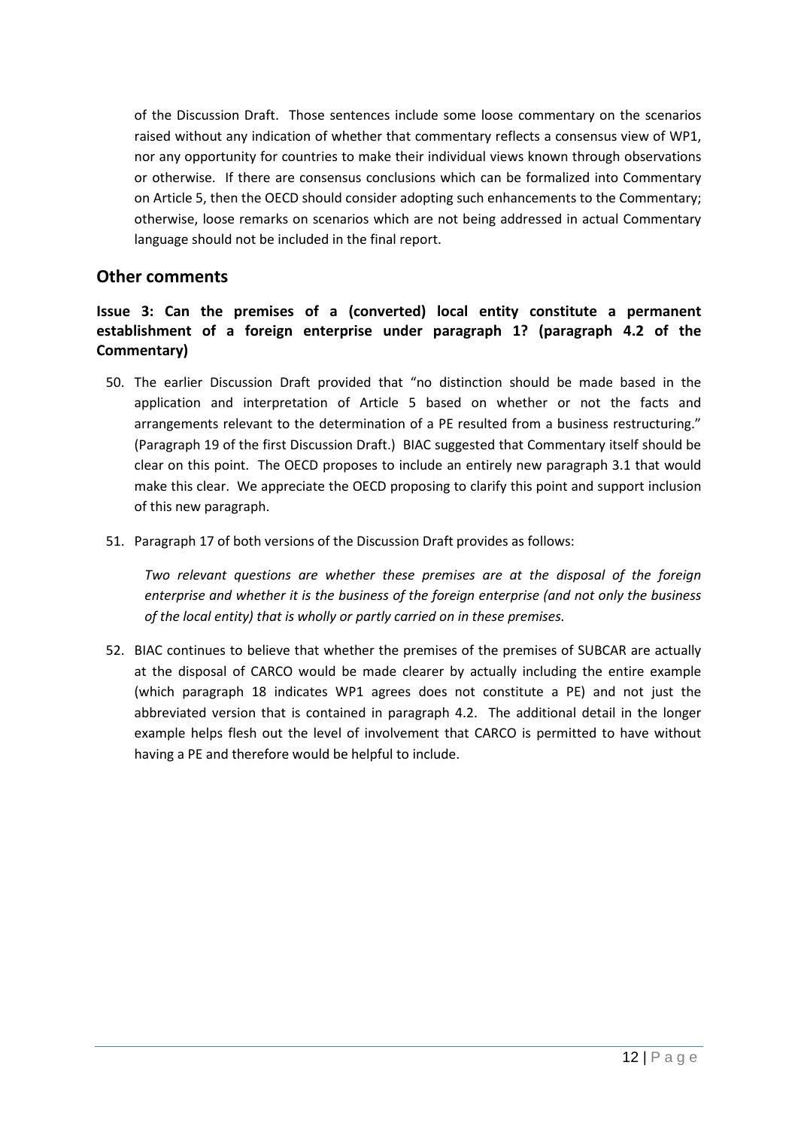of the Discussion Draft. Those sentences include some loose commentary on the scenarios raised without any indication of whether that commentary reflects a consensus view of WP1, nor any opportunity for countries to make their individual views known through observations or otherwise. If there are consensus conclusions which can be formalized into Commentary on Article 5, then the OECD should consider adopting such enhancements to the Commentary; otherwise, loose remarks on scenarios which are not being addressed in actual Commentary language should not be included in the final report.

# **Other comments**

**Issue 3: Can the premises of a (converted) local entity constitute a permanent establishment of a foreign enterprise under paragraph 1? (paragraph 4.2 of the Commentary)**

- 50. The earlier Discussion Draft provided that "no distinction should be made based in the application and interpretation of Article 5 based on whether or not the facts and arrangements relevant to the determination of a PE resulted from a business restructuring." (Paragraph 19 of the first Discussion Draft.) BIAC suggested that Commentary itself should be clear on this point. The OECD proposes to include an entirely new paragraph 3.1 that would make this clear. We appreciate the OECD proposing to clarify this point and support inclusion of this new paragraph.
- 51. Paragraph 17 of both versions of the Discussion Draft provides as follows:

*Two relevant questions are whether these premises are at the disposal of the foreign enterprise and whether it is the business of the foreign enterprise (and not only the business of the local entity) that is wholly or partly carried on in these premises.* 

52. BIAC continues to believe that whether the premises of the premises of SUBCAR are actually at the disposal of CARCO would be made clearer by actually including the entire example (which paragraph 18 indicates WP1 agrees does not constitute a PE) and not just the abbreviated version that is contained in paragraph 4.2. The additional detail in the longer example helps flesh out the level of involvement that CARCO is permitted to have without having a PE and therefore would be helpful to include.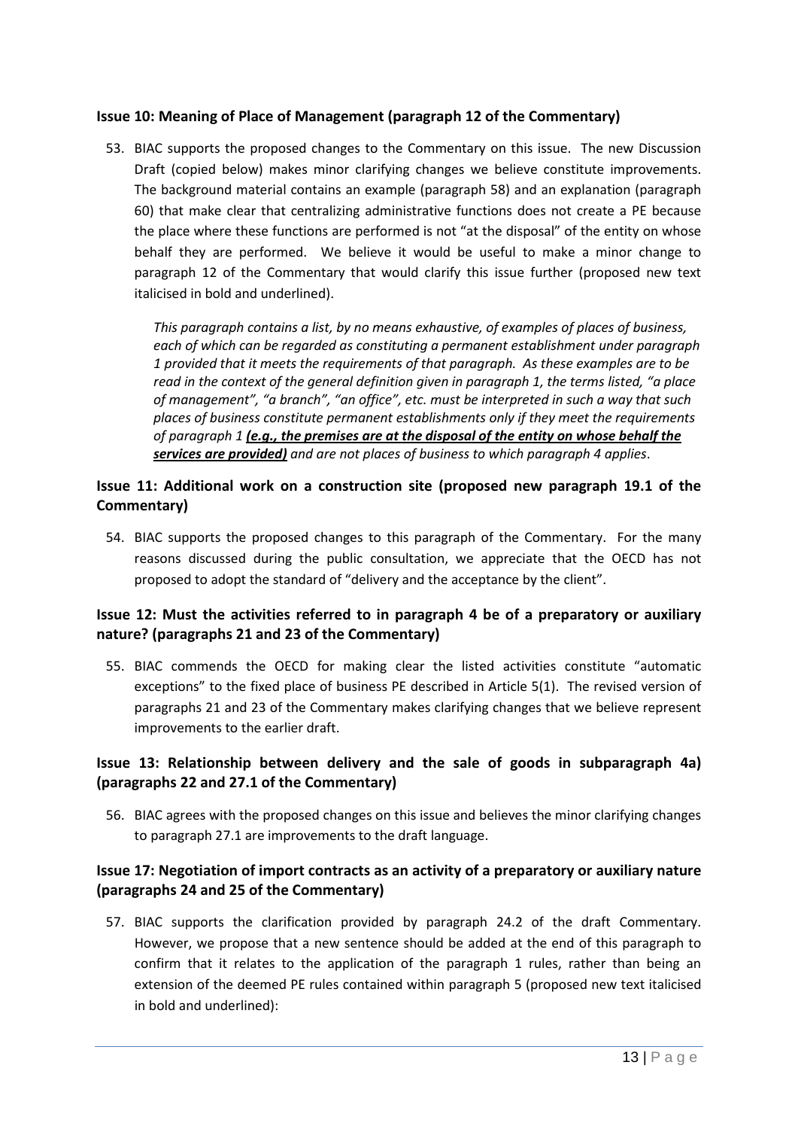## **Issue 10: Meaning of Place of Management (paragraph 12 of the Commentary)**

53. BIAC supports the proposed changes to the Commentary on this issue. The new Discussion Draft (copied below) makes minor clarifying changes we believe constitute improvements. The background material contains an example (paragraph 58) and an explanation (paragraph 60) that make clear that centralizing administrative functions does not create a PE because the place where these functions are performed is not "at the disposal" of the entity on whose behalf they are performed. We believe it would be useful to make a minor change to paragraph 12 of the Commentary that would clarify this issue further (proposed new text italicised in bold and underlined).

*This paragraph contains a list, by no means exhaustive, of examples of places of business, each of which can be regarded as constituting a permanent establishment under paragraph 1 provided that it meets the requirements of that paragraph. As these examples are to be read in the context of the general definition given in paragraph 1, the terms listed, "a place of management", "a branch", "an office", etc. must be interpreted in such a way that such places of business constitute permanent establishments only if they meet the requirements of paragraph 1 (e.g., the premises are at the disposal of the entity on whose behalf the*  services are provided) and are not places of business to which paragraph 4 applies.

# **Issue 11: Additional work on a construction site (proposed new paragraph 19.1 of the Commentary)**

54. BIAC supports the proposed changes to this paragraph of the Commentary. For the many reasons discussed during the public consultation, we appreciate that the OECD has not proposed to adopt the standard of "delivery and the acceptance by the client".

# **Issue 12: Must the activities referred to in paragraph 4 be of a preparatory or auxiliary nature? (paragraphs 21 and 23 of the Commentary)**

55. BIAC commends the OECD for making clear the listed activities constitute "automatic exceptions" to the fixed place of business PE described in Article 5(1). The revised version of paragraphs 21 and 23 of the Commentary makes clarifying changes that we believe represent improvements to the earlier draft.

# **Issue 13: Relationship between delivery and the sale of goods in subparagraph 4a) (paragraphs 22 and 27.1 of the Commentary)**

56. BIAC agrees with the proposed changes on this issue and believes the minor clarifying changes to paragraph 27.1 are improvements to the draft language.

# **Issue 17: Negotiation of import contracts as an activity of a preparatory or auxiliary nature (paragraphs 24 and 25 of the Commentary)**

57. BIAC supports the clarification provided by paragraph 24.2 of the draft Commentary. However, we propose that a new sentence should be added at the end of this paragraph to confirm that it relates to the application of the paragraph 1 rules, rather than being an extension of the deemed PE rules contained within paragraph 5 (proposed new text italicised in bold and underlined):